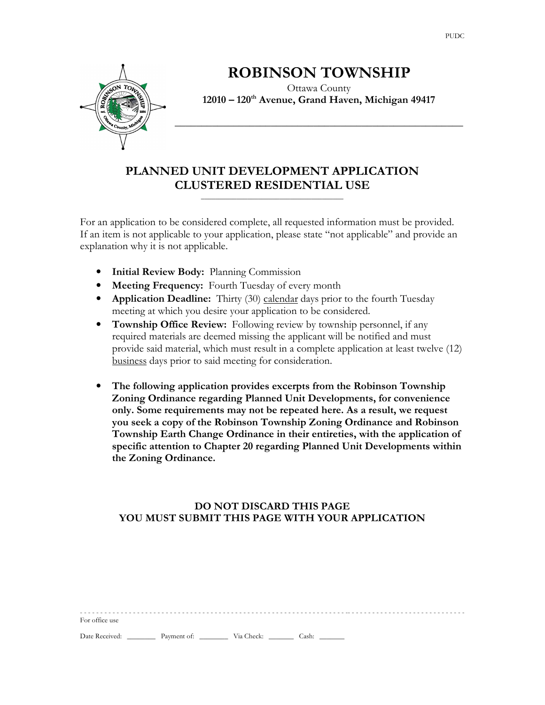

# ROBINSON TOWNSHIP

Ottawa County 12010 – 120<sup>th</sup> Avenue, Grand Haven, Michigan 49417

\_\_\_\_\_\_\_\_\_\_\_\_\_\_\_\_\_\_\_\_\_\_\_\_\_\_\_\_\_\_\_\_\_\_\_\_\_\_\_\_\_\_\_\_\_\_\_\_\_\_\_\_\_\_

# PLANNED UNIT DEVELOPMENT APPLICATION CLUSTERED RESIDENTIAL USE

 $\overline{\phantom{a}}$  , and the set of the set of the set of the set of the set of the set of the set of the set of the set of the set of the set of the set of the set of the set of the set of the set of the set of the set of the s

For an application to be considered complete, all requested information must be provided. If an item is not applicable to your application, please state "not applicable" and provide an explanation why it is not applicable.

- Initial Review Body: Planning Commission
- Meeting Frequency: Fourth Tuesday of every month
- Application Deadline: Thirty (30) calendar days prior to the fourth Tuesday meeting at which you desire your application to be considered.
- Township Office Review: Following review by township personnel, if any required materials are deemed missing the applicant will be notified and must provide said material, which must result in a complete application at least twelve (12) business days prior to said meeting for consideration.
- The following application provides excerpts from the Robinson Township Zoning Ordinance regarding Planned Unit Developments, for convenience only. Some requirements may not be repeated here. As a result, we request you seek a copy of the Robinson Township Zoning Ordinance and Robinson Township Earth Change Ordinance in their entireties, with the application of specific attention to Chapter 20 regarding Planned Unit Developments within the Zoning Ordinance.

### DO NOT DISCARD THIS PAGE YOU MUST SUBMIT THIS PAGE WITH YOUR APPLICATION

| For office use                                    |  |  |
|---------------------------------------------------|--|--|
| Date Received: Payment of: Via Check: Cash: Cash: |  |  |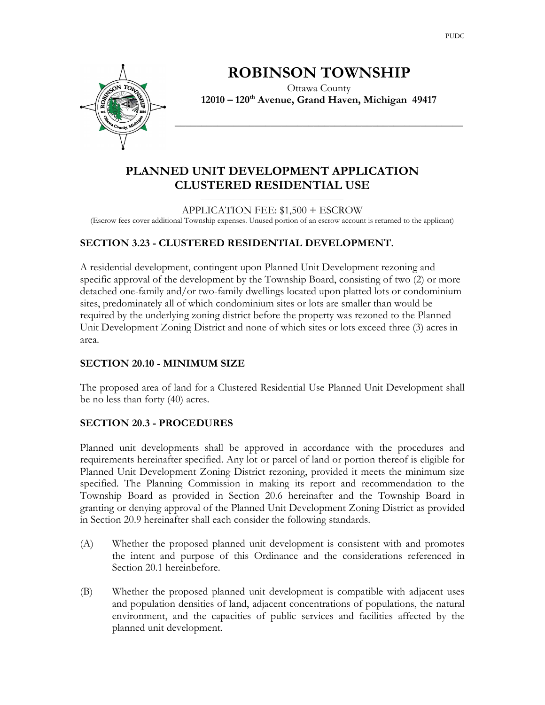

# ROBINSON TOWNSHIP

Ottawa County 12010 – 120<sup>th</sup> Avenue, Grand Haven, Michigan 49417

\_\_\_\_\_\_\_\_\_\_\_\_\_\_\_\_\_\_\_\_\_\_\_\_\_\_\_\_\_\_\_\_\_\_\_\_\_\_\_\_\_\_\_\_\_\_\_\_\_\_\_\_\_\_

# PLANNED UNIT DEVELOPMENT APPLICATION CLUSTERED RESIDENTIAL USE

 $\overline{\phantom{a}}$  , and the set of the set of the set of the set of the set of the set of the set of the set of the set of the set of the set of the set of the set of the set of the set of the set of the set of the set of the s

APPLICATION FEE: \$1,500 + ESCROW (Escrow fees cover additional Township expenses. Unused portion of an escrow account is returned to the applicant)

## SECTION 3.23 - CLUSTERED RESIDENTIAL DEVELOPMENT.

A residential development, contingent upon Planned Unit Development rezoning and specific approval of the development by the Township Board, consisting of two (2) or more detached one-family and/or two-family dwellings located upon platted lots or condominium sites, predominately all of which condominium sites or lots are smaller than would be required by the underlying zoning district before the property was rezoned to the Planned Unit Development Zoning District and none of which sites or lots exceed three (3) acres in area.

#### SECTION 20.10 - MINIMUM SIZE

The proposed area of land for a Clustered Residential Use Planned Unit Development shall be no less than forty (40) acres.

## SECTION 20.3 - PROCEDURES

Planned unit developments shall be approved in accordance with the procedures and requirements hereinafter specified. Any lot or parcel of land or portion thereof is eligible for Planned Unit Development Zoning District rezoning, provided it meets the minimum size specified. The Planning Commission in making its report and recommendation to the Township Board as provided in Section 20.6 hereinafter and the Township Board in granting or denying approval of the Planned Unit Development Zoning District as provided in Section 20.9 hereinafter shall each consider the following standards.

- (A) Whether the proposed planned unit development is consistent with and promotes the intent and purpose of this Ordinance and the considerations referenced in Section 20.1 hereinbefore.
- (B) Whether the proposed planned unit development is compatible with adjacent uses and population densities of land, adjacent concentrations of populations, the natural environment, and the capacities of public services and facilities affected by the planned unit development.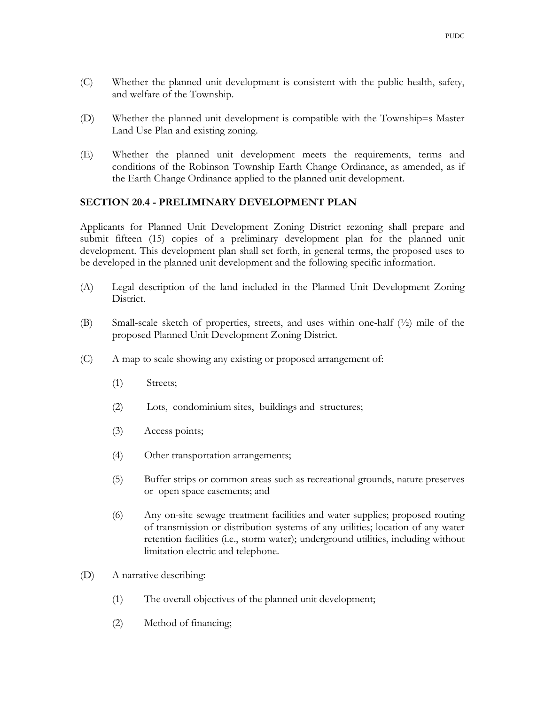- (C) Whether the planned unit development is consistent with the public health, safety, and welfare of the Township.
- (D) Whether the planned unit development is compatible with the Township=s Master Land Use Plan and existing zoning.
- (E) Whether the planned unit development meets the requirements, terms and conditions of the Robinson Township Earth Change Ordinance, as amended, as if the Earth Change Ordinance applied to the planned unit development.

#### SECTION 20.4 - PRELIMINARY DEVELOPMENT PLAN

Applicants for Planned Unit Development Zoning District rezoning shall prepare and submit fifteen (15) copies of a preliminary development plan for the planned unit development. This development plan shall set forth, in general terms, the proposed uses to be developed in the planned unit development and the following specific information.

- (A) Legal description of the land included in the Planned Unit Development Zoning District.
- (B) Small-scale sketch of properties, streets, and uses within one-half (½) mile of the proposed Planned Unit Development Zoning District.
- (C) A map to scale showing any existing or proposed arrangement of:
	- (1) Streets;
	- (2) Lots, condominium sites, buildings and structures;
	- (3) Access points;
	- (4) Other transportation arrangements;
	- (5) Buffer strips or common areas such as recreational grounds, nature preserves or open space easements; and
	- (6) Any on-site sewage treatment facilities and water supplies; proposed routing of transmission or distribution systems of any utilities; location of any water retention facilities (i.e., storm water); underground utilities, including without limitation electric and telephone.
- (D) A narrative describing:
	- (1) The overall objectives of the planned unit development;
	- (2) Method of financing;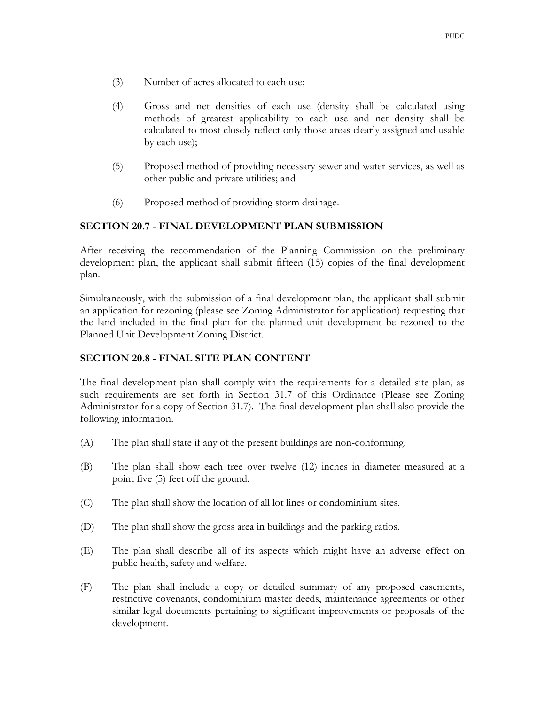- (3) Number of acres allocated to each use;
- (4) Gross and net densities of each use (density shall be calculated using methods of greatest applicability to each use and net density shall be calculated to most closely reflect only those areas clearly assigned and usable by each use);
- (5) Proposed method of providing necessary sewer and water services, as well as other public and private utilities; and
- (6) Proposed method of providing storm drainage.

#### SECTION 20.7 - FINAL DEVELOPMENT PLAN SUBMISSION

After receiving the recommendation of the Planning Commission on the preliminary development plan, the applicant shall submit fifteen (15) copies of the final development plan.

Simultaneously, with the submission of a final development plan, the applicant shall submit an application for rezoning (please see Zoning Administrator for application) requesting that the land included in the final plan for the planned unit development be rezoned to the Planned Unit Development Zoning District.

#### SECTION 20.8 - FINAL SITE PLAN CONTENT

The final development plan shall comply with the requirements for a detailed site plan, as such requirements are set forth in Section 31.7 of this Ordinance (Please see Zoning Administrator for a copy of Section 31.7). The final development plan shall also provide the following information.

- (A) The plan shall state if any of the present buildings are non-conforming.
- (B) The plan shall show each tree over twelve (12) inches in diameter measured at a point five (5) feet off the ground.
- (C) The plan shall show the location of all lot lines or condominium sites.
- (D) The plan shall show the gross area in buildings and the parking ratios.
- (E) The plan shall describe all of its aspects which might have an adverse effect on public health, safety and welfare.
- (F) The plan shall include a copy or detailed summary of any proposed easements, restrictive covenants, condominium master deeds, maintenance agreements or other similar legal documents pertaining to significant improvements or proposals of the development.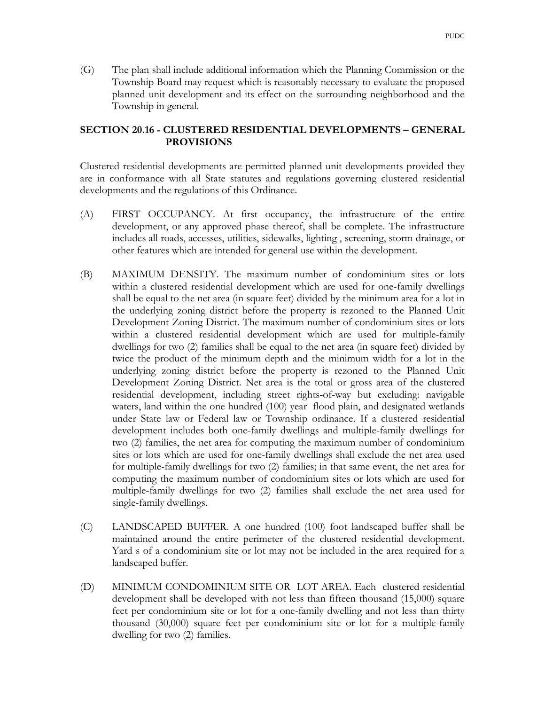- (G) The plan shall include additional information which the Planning Commission or the
- Township Board may request which is reasonably necessary to evaluate the proposed planned unit development and its effect on the surrounding neighborhood and the Township in general.

### SECTION 20.16 - CLUSTERED RESIDENTIAL DEVELOPMENTS – GENERAL PROVISIONS

Clustered residential developments are permitted planned unit developments provided they are in conformance with all State statutes and regulations governing clustered residential developments and the regulations of this Ordinance.

- (A) FIRST OCCUPANCY. At first occupancy, the infrastructure of the entire development, or any approved phase thereof, shall be complete. The infrastructure includes all roads, accesses, utilities, sidewalks, lighting , screening, storm drainage, or other features which are intended for general use within the development.
- (B) MAXIMUM DENSITY. The maximum number of condominium sites or lots within a clustered residential development which are used for one-family dwellings shall be equal to the net area (in square feet) divided by the minimum area for a lot in the underlying zoning district before the property is rezoned to the Planned Unit Development Zoning District. The maximum number of condominium sites or lots within a clustered residential development which are used for multiple-family dwellings for two (2) families shall be equal to the net area (in square feet) divided by twice the product of the minimum depth and the minimum width for a lot in the underlying zoning district before the property is rezoned to the Planned Unit Development Zoning District. Net area is the total or gross area of the clustered residential development, including street rights-of-way but excluding: navigable waters, land within the one hundred (100) year flood plain, and designated wetlands under State law or Federal law or Township ordinance. If a clustered residential development includes both one-family dwellings and multiple-family dwellings for two (2) families, the net area for computing the maximum number of condominium sites or lots which are used for one-family dwellings shall exclude the net area used for multiple-family dwellings for two (2) families; in that same event, the net area for computing the maximum number of condominium sites or lots which are used for multiple-family dwellings for two (2) families shall exclude the net area used for single-family dwellings.
- (C) LANDSCAPED BUFFER. A one hundred (100) foot landscaped buffer shall be maintained around the entire perimeter of the clustered residential development. Yard s of a condominium site or lot may not be included in the area required for a landscaped buffer.
- (D) MINIMUM CONDOMINIUM SITE OR LOT AREA. Each clustered residential development shall be developed with not less than fifteen thousand (15,000) square feet per condominium site or lot for a one-family dwelling and not less than thirty thousand (30,000) square feet per condominium site or lot for a multiple-family dwelling for two (2) families.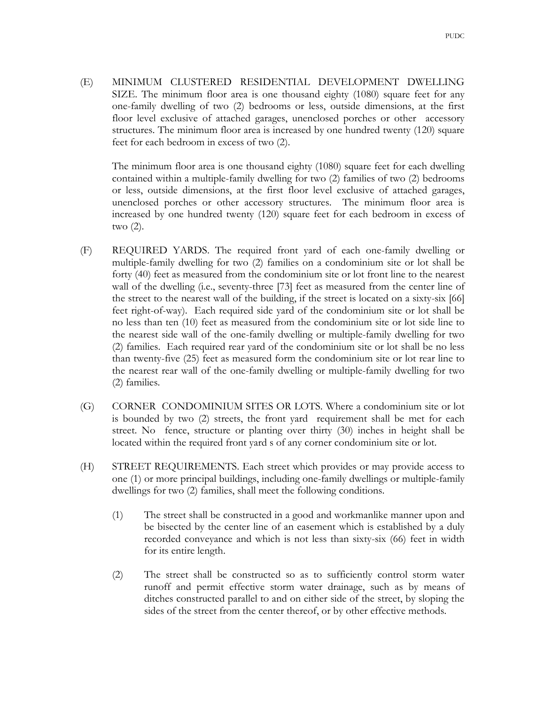(E) MINIMUM CLUSTERED RESIDENTIAL DEVELOPMENT DWELLING SIZE. The minimum floor area is one thousand eighty (1080) square feet for any one-family dwelling of two (2) bedrooms or less, outside dimensions, at the first floor level exclusive of attached garages, unenclosed porches or other accessory structures. The minimum floor area is increased by one hundred twenty (120) square feet for each bedroom in excess of two (2).

The minimum floor area is one thousand eighty (1080) square feet for each dwelling contained within a multiple-family dwelling for two (2) families of two (2) bedrooms or less, outside dimensions, at the first floor level exclusive of attached garages, unenclosed porches or other accessory structures. The minimum floor area is increased by one hundred twenty (120) square feet for each bedroom in excess of two (2).

- (F) REQUIRED YARDS. The required front yard of each one-family dwelling or multiple-family dwelling for two (2) families on a condominium site or lot shall be forty (40) feet as measured from the condominium site or lot front line to the nearest wall of the dwelling (i.e., seventy-three [73] feet as measured from the center line of the street to the nearest wall of the building, if the street is located on a sixty-six [66] feet right-of-way). Each required side yard of the condominium site or lot shall be no less than ten (10) feet as measured from the condominium site or lot side line to the nearest side wall of the one-family dwelling or multiple-family dwelling for two (2) families. Each required rear yard of the condominium site or lot shall be no less than twenty-five (25) feet as measured form the condominium site or lot rear line to the nearest rear wall of the one-family dwelling or multiple-family dwelling for two (2) families.
- (G) CORNER CONDOMINIUM SITES OR LOTS. Where a condominium site or lot is bounded by two (2) streets, the front yard requirement shall be met for each street. No fence, structure or planting over thirty (30) inches in height shall be located within the required front yard s of any corner condominium site or lot.
- (H) STREET REQUIREMENTS. Each street which provides or may provide access to one (1) or more principal buildings, including one-family dwellings or multiple-family dwellings for two (2) families, shall meet the following conditions.
	- (1) The street shall be constructed in a good and workmanlike manner upon and be bisected by the center line of an easement which is established by a duly recorded conveyance and which is not less than sixty-six (66) feet in width for its entire length.
	- (2) The street shall be constructed so as to sufficiently control storm water runoff and permit effective storm water drainage, such as by means of ditches constructed parallel to and on either side of the street, by sloping the sides of the street from the center thereof, or by other effective methods.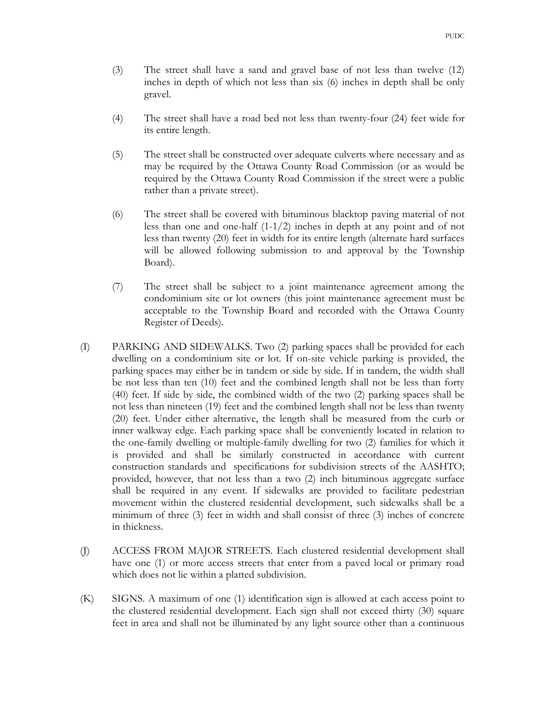- (3) The street shall have a sand and gravel base of not less than twelve (12) inches in depth of which not less than six (6) inches in depth shall be only gravel.
- (4) The street shall have a road bed not less than twenty-four (24) feet wide for its entire length.
- (5) The street shall be constructed over adequate culverts where necessary and as may be required by the Ottawa County Road Commission (or as would be required by the Ottawa County Road Commission if the street were a public rather than a private street).
- (6) The street shall be covered with bituminous blacktop paving material of not less than one and one-half (1-1/2) inches in depth at any point and of not less than twenty (20) feet in width for its entire length (alternate hard surfaces will be allowed following submission to and approval by the Township Board).
- (7) The street shall be subject to a joint maintenance agreement among the condominium site or lot owners (this joint maintenance agreement must be acceptable to the Township Board and recorded with the Ottawa County Register of Deeds).
- (I) PARKING AND SIDEWALKS. Two (2) parking spaces shall be provided for each dwelling on a condominium site or lot. If on-site vehicle parking is provided, the parking spaces may either be in tandem or side by side. If in tandem, the width shall be not less than ten (10) feet and the combined length shall not be less than forty (40) feet. If side by side, the combined width of the two (2) parking spaces shall be not less than nineteen (19) feet and the combined length shall not be less than twenty (20) feet. Under either alternative, the length shall be measured from the curb or inner walkway edge. Each parking space shall be conveniently located in relation to the one-family dwelling or multiple-family dwelling for two (2) families for which it is provided and shall be similarly constructed in accordance with current construction standards and specifications for subdivision streets of the AASHTO; provided, however, that not less than a two (2) inch bituminous aggregate surface shall be required in any event. If sidewalks are provided to facilitate pedestrian movement within the clustered residential development, such sidewalks shall be a minimum of three (3) feet in width and shall consist of three (3) inches of concrete in thickness.
- (J) ACCESS FROM MAJOR STREETS. Each clustered residential development shall have one (1) or more access streets that enter from a paved local or primary road which does not lie within a platted subdivision.
- (K) SIGNS. A maximum of one (1) identification sign is allowed at each access point to the clustered residential development. Each sign shall not exceed thirty (30) square feet in area and shall not be illuminated by any light source other than a continuous